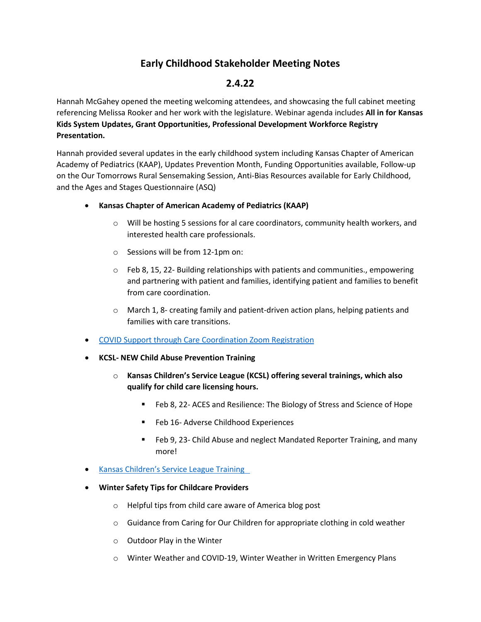# **Early Childhood Stakeholder Meeting Notes**

# **2.4.22**

Hannah McGahey opened the meeting welcoming attendees, and showcasing the full cabinet meeting referencing Melissa Rooker and her work with the legislature. Webinar agenda includes **All in for Kansas Kids System Updates, Grant Opportunities, Professional Development Workforce Registry Presentation.**

Hannah provided several updates in the early childhood system including Kansas Chapter of American Academy of Pediatrics (KAAP), Updates Prevention Month, Funding Opportunities available, Follow-up on the Our Tomorrows Rural Sensemaking Session, Anti-Bias Resources available for Early Childhood, and the Ages and Stages Questionnaire (ASQ)

- **Kansas Chapter of American Academy of Pediatrics (KAAP)**
	- o Will be hosting 5 sessions for al care coordinators, community health workers, and interested health care professionals.
	- o Sessions will be from 12-1pm on:
	- o Feb 8, 15, 22- Building relationships with patients and communities., empowering and partnering with patient and families, identifying patient and families to benefit from care coordination.
	- o March 1, 8- creating family and patient-driven action plans, helping patients and families with care transitions.
- [COVID Support through Care Coordination Zoom Registration](https://us02web.zoom.us/meeting/register/tZUqf-uhqjotEtx2nAqOjBH0GbrknJlRG2M0)
- **KCSL- NEW Child Abuse Prevention Training**
	- o **Kansas Children's Service League (KCSL) offering several trainings, which also qualify for child care licensing hours.**
		- Feb 8, 22- ACES and Resilience: The Biology of Stress and Science of Hope
		- **Feb 16- Adverse Childhood Experiences**
		- Feb 9, 23- Child Abuse and neglect Mandated Reporter Training, and many more!
- [Kansas Children's Service League Training](https://www.kcsl.org/training_events.aspx)
- **Winter Safety Tips for Childcare Providers**
	- o Helpful tips from child care aware of America blog post
	- o Guidance from Caring for Our Children for appropriate clothing in cold weather
	- o Outdoor Play in the Winter
	- o Winter Weather and COVID-19, Winter Weather in Written Emergency Plans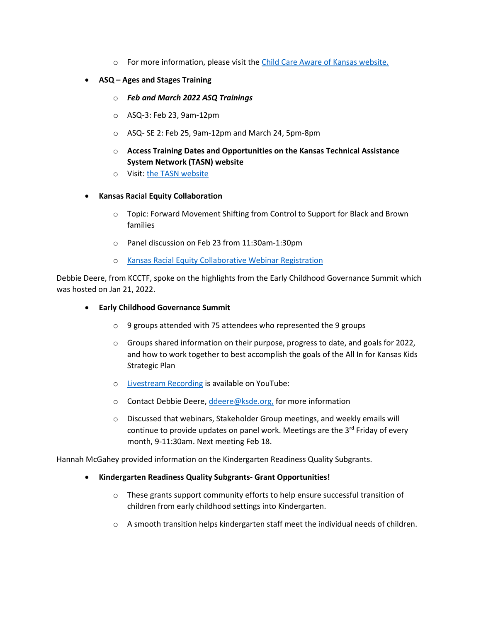- o For more information, please visit the [Child Care Aware of Kansas website.](https://ks.childcareaware.org/impact-grants-available/)
- **ASQ – Ages and Stages Training**
	- o *Feb and March 2022 ASQ Trainings*
	- o ASQ-3: Feb 23, 9am-12pm
	- o ASQ- SE 2: Feb 25, 9am-12pm and March 24, 5pm-8pm
	- o **Access Training Dates and Opportunities on the Kansas Technical Assistance System Network (TASN) website**
	- o Visit[: the TASN website](https://www.ksdetasn.org/search/events?search_term=&q%5Baudience_list_cont_any%5D%5B%5D=&q%5Btopic_list_cont_any%5D%5B%5D=&q%5Bstudent_age_list_cont_any%5D%5B%5D=&q%5Bprovider_id_eq_any%5D%5B%5D=&q%5Bprovider_id_eq_any%5D%5B%5D=31&q%5Bstart_time_or_end_time_date_gt%5D=2022-01-27&q%5Bstart_time_or_end_time_date_lt%5D=&commit=SEARCH)
- **Kansas Racial Equity Collaboration**
	- o Topic: Forward Movement Shifting from Control to Support for Black and Brown families
	- o Panel discussion on Feb 23 from 11:30am-1:30pm
	- o [Kansas Racial Equity Collaborative Webinar Registration](https://us02web.zoom.us/webinar/register/WN_RU7ajIvOQx-C8psRvMy2_Q)

Debbie Deere, from KCCTF, spoke on the highlights from the Early Childhood Governance Summit which was hosted on Jan 21, 2022.

## • **Early Childhood Governance Summit**

- o 9 groups attended with 75 attendees who represented the 9 groups
- o Groups shared information on their purpose, progress to date, and goals for 2022, and how to work together to best accomplish the goals of the All In for Kansas Kids Strategic Plan
- o [Livestream Recording](https://www.youtube.com/watch?v=qcMr6nTMGws) is available on YouTube:
- o Contact Debbie Deere, [ddeere@ksde.org,](mailto:ddeere@ksde.org) for more information
- o Discussed that webinars, Stakeholder Group meetings, and weekly emails will continue to provide updates on panel work. Meetings are the 3<sup>rd</sup> Friday of every month, 9-11:30am. Next meeting Feb 18.

Hannah McGahey provided information on the Kindergarten Readiness Quality Subgrants.

- **Kindergarten Readiness Quality Subgrants- Grant Opportunities!** 
	- o These grants support community efforts to help ensure successful transition of children from early childhood settings into Kindergarten.
	- $\circ$  A smooth transition helps kindergarten staff meet the individual needs of children.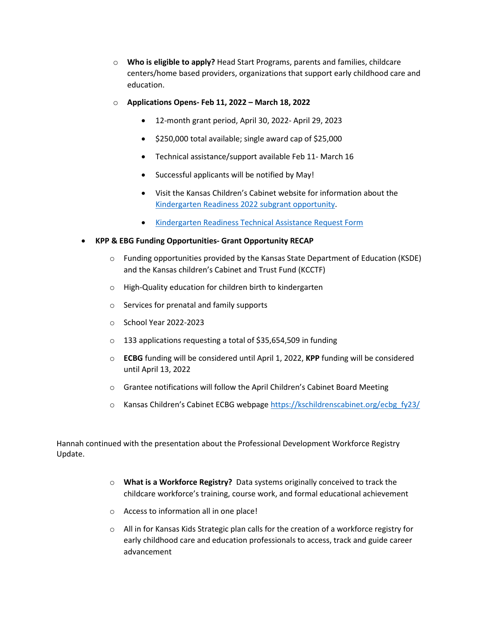- o **Who is eligible to apply?** Head Start Programs, parents and families, childcare centers/home based providers, organizations that support early childhood care and education.
- o **Applications Opens- Feb 11, 2022 – March 18, 2022**
	- 12-month grant period, April 30, 2022- April 29, 2023
	- \$250,000 total available; single award cap of \$25,000
	- Technical assistance/support available Feb 11- March 16
	- Successful applicants will be notified by May!
	- Visit the Kansas Children's Cabinet website for information about the [Kindergarten Readiness 2022 subgrant opportunity.](https://kschildrenscabinet.org/kr-grants/)
	- [Kindergarten Readiness Technical Assistance Request Form](https://app.smartsheet.com/b/form/304b4ba5495f4a408c68936d40e9b1b1)

### • **KPP & EBG Funding Opportunities- Grant Opportunity RECAP**

- o Funding opportunities provided by the Kansas State Department of Education (KSDE) and the Kansas children's Cabinet and Trust Fund (KCCTF)
- o High-Quality education for children birth to kindergarten
- o Services for prenatal and family supports
- o School Year 2022-2023
- o 133 applications requesting a total of \$35,654,509 in funding
- o **ECBG** funding will be considered until April 1, 2022, **KPP** funding will be considered until April 13, 2022
- o Grantee notifications will follow the April Children's Cabinet Board Meeting
- o Kansas Children's Cabinet ECBG webpag[e https://kschildrenscabinet.org/ecbg\\_fy23/](https://kschildrenscabinet.org/ecbg_fy23/)

Hannah continued with the presentation about the Professional Development Workforce Registry Update.

- o **What is a Workforce Registry?** Data systems originally conceived to track the childcare workforce's training, course work, and formal educational achievement
- o Access to information all in one place!
- o All in for Kansas Kids Strategic plan calls for the creation of a workforce registry for early childhood care and education professionals to access, track and guide career advancement